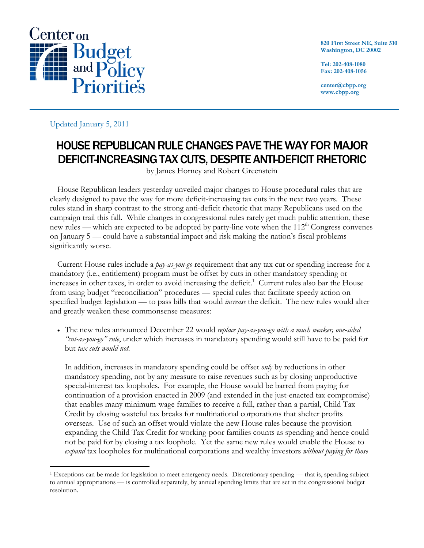

**820 First Street NE, Suite 510 Washington, DC 20002** 

**Tel: 202-408-1080 Fax: 202-408-1056** 

**center@cbpp.org www.cbpp.org** 

Updated January 5, 2011

## HOUSE REPUBLICAN RULE CHANGES PAVE THE WAY FOR MAJOR DEFICIT-INCREASING TAX CUTS, DESPITE ANTI-DEFICIT RHETORIC

by James Horney and Robert Greenstein

House Republican leaders yesterday unveiled major changes to House procedural rules that are clearly designed to pave the way for more deficit-increasing tax cuts in the next two years. These rules stand in sharp contrast to the strong anti-deficit rhetoric that many Republicans used on the campaign trail this fall. While changes in congressional rules rarely get much public attention, these new rules — which are expected to be adopted by party-line vote when the  $112<sup>th</sup>$  Congress convenes on January 5 — could have a substantial impact and risk making the nation's fiscal problems significantly worse.

Current House rules include a *pay-as-you-go* requirement that any tax cut or spending increase for a mandatory (i.e., entitlement) program must be offset by cuts in other mandatory spending or  $\frac{1}{2}$  increases in other taxes, in order to avoid increasing the deficit.<sup>1</sup> Current rules also bar the House from using budget "reconciliation" procedures — special rules that facilitate speedy action on specified budget legislation — to pass bills that would *increase* the deficit. The new rules would alter and greatly weaken these commonsense measures:

 The new rules announced December 22 would *replace pay-as-you-go with a much weaker, one-sided "cut-as-you-go" rule*, under which increases in mandatory spending would still have to be paid for but *tax cuts would not.*

In addition, increases in mandatory spending could be offset *only* by reductions in other mandatory spending, not by any measure to raise revenues such as by closing unproductive special-interest tax loopholes. For example, the House would be barred from paying for continuation of a provision enacted in 2009 (and extended in the just-enacted tax compromise) that enables many minimum-wage families to receive a full, rather than a partial, Child Tax Credit by closing wasteful tax breaks for multinational corporations that shelter profits overseas. Use of such an offset would violate the new House rules because the provision expanding the Child Tax Credit for working-poor families counts as spending and hence could not be paid for by closing a tax loophole. Yet the same new rules would enable the House to *expand* tax loopholes for multinational corporations and wealthy investors *without paying for those* 

 $\overline{a}$ 1 Exceptions can be made for legislation to meet emergency needs. Discretionary spending — that is, spending subject to annual appropriations — is controlled separately, by annual spending limits that are set in the congressional budget resolution.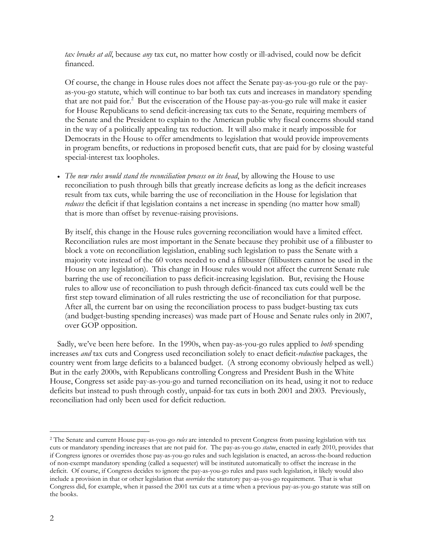*tax breaks at all*, because *any* tax cut, no matter how costly or ill-advised, could now be deficit financed.

Of course, the change in House rules does not affect the Senate pay-as-you-go rule or the payas-you-go statute, which will continue to bar both tax cuts and increases in mandatory spending that are not paid for.<sup>2</sup> But the evisceration of the House pay-as-you-go rule will make it easier for House Republicans to send deficit-increasing tax cuts to the Senate, requiring members of the Senate and the President to explain to the American public why fiscal concerns should stand in the way of a politically appealing tax reduction. It will also make it nearly impossible for Democrats in the House to offer amendments to legislation that would provide improvements in program benefits, or reductions in proposed benefit cuts, that are paid for by closing wasteful special-interest tax loopholes.

 *The new rules would stand the reconciliation process on its head*, by allowing the House to use reconciliation to push through bills that greatly increase deficits as long as the deficit increases result from tax cuts, while barring the use of reconciliation in the House for legislation that *reduces* the deficit if that legislation contains a net increase in spending (no matter how small) that is more than offset by revenue-raising provisions.

By itself, this change in the House rules governing reconciliation would have a limited effect. Reconciliation rules are most important in the Senate because they prohibit use of a filibuster to block a vote on reconciliation legislation, enabling such legislation to pass the Senate with a majority vote instead of the 60 votes needed to end a filibuster (filibusters cannot be used in the House on any legislation). This change in House rules would not affect the current Senate rule barring the use of reconciliation to pass deficit-increasing legislation. But, revising the House rules to allow use of reconciliation to push through deficit-financed tax cuts could well be the first step toward elimination of all rules restricting the use of reconciliation for that purpose. After all, the current bar on using the reconciliation process to pass budget-busting tax cuts (and budget-busting spending increases) was made part of House and Senate rules only in 2007, over GOP opposition.

Sadly, we've been here before. In the 1990s, when pay-as-you-go rules applied to *both* spending increases *and* tax cuts and Congress used reconciliation solely to enact deficit-*reduction* packages, the country went from large deficits to a balanced budget. (A strong economy obviously helped as well.) But in the early 2000s, with Republicans controlling Congress and President Bush in the White House, Congress set aside pay-as-you-go and turned reconciliation on its head, using it not to reduce deficits but instead to push through costly, unpaid-for tax cuts in both 2001 and 2003. Previously, reconciliation had only been used for deficit reduction.

 $\overline{a}$ 

<sup>2</sup> The Senate and current House pay-as-you-go *rules* are intended to prevent Congress from passing legislation with tax cuts or mandatory spending increases that are not paid for. The pay-as-you-go *statue*, enacted in early 2010, provides that if Congress ignores or overrides those pay-as-you-go rules and such legislation is enacted, an across-the-board reduction of non-exempt mandatory spending (called a sequester) will be instituted automatically to offset the increase in the deficit. Of course, if Congress decides to ignore the pay-as-you-go rules and pass such legislation, it likely would also include a provision in that or other legislation that *overrides* the statutory pay-as-you-go requirement. That is what Congress did, for example, when it passed the 2001 tax cuts at a time when a previous pay-as-you-go statute was still on the books.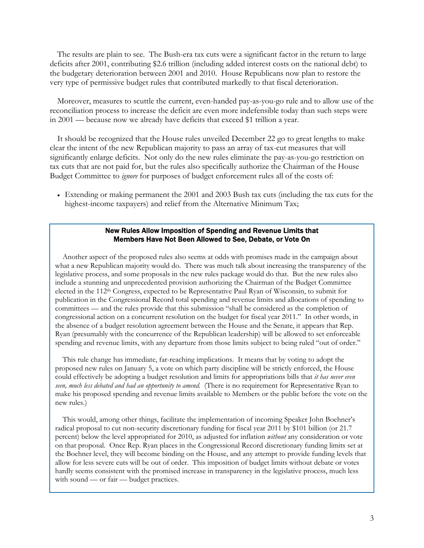The results are plain to see. The Bush-era tax cuts were a significant factor in the return to large deficits after 2001, contributing \$2.6 trillion (including added interest costs on the national debt) to the budgetary deterioration between 2001 and 2010. House Republicans now plan to restore the very type of permissive budget rules that contributed markedly to that fiscal deterioration.

Moreover, measures to scuttle the current, even-handed pay-as-you-go rule and to allow use of the reconciliation process to increase the deficit are even more indefensible today than such steps were in 2001 — because now we already have deficits that exceed \$1 trillion a year.

It should be recognized that the House rules unveiled December 22 go to great lengths to make clear the intent of the new Republican majority to pass an array of tax-cut measures that will significantly enlarge deficits. Not only do the new rules eliminate the pay-as-you-go restriction on tax cuts that are not paid for, but the rules also specifically authorize the Chairman of the House Budget Committee to *ignore* for purposes of budget enforcement rules all of the costs of:

 Extending or making permanent the 2001 and 2003 Bush tax cuts (including the tax cuts for the highest-income taxpayers) and relief from the Alternative Minimum Tax;

## New Rules Allow Imposition of Spending and Revenue Limits that Members Have Not Been Allowed to See, Debate, or Vote On

Another aspect of the proposed rules also seems at odds with promises made in the campaign about what a new Republican majority would do. There was much talk about increasing the transparency of the legislative process, and some proposals in the new rules package would do that. But the new rules also include a stunning and unprecedented provision authorizing the Chairman of the Budget Committee elected in the 112th Congress, expected to be Representative Paul Ryan of Wisconsin, to submit for publication in the Congressional Record total spending and revenue limits and allocations of spending to committees — and the rules provide that this submission "shall be considered as the completion of congressional action on a concurrent resolution on the budget for fiscal year 2011." In other words, in the absence of a budget resolution agreement between the House and the Senate, it appears that Rep. Ryan (presumably with the concurrence of the Republican leadership) will be allowed to set enforceable spending and revenue limits, with any departure from those limits subject to being ruled "out of order."

This rule change has immediate, far-reaching implications. It means that by voting to adopt the proposed new rules on January 5, a vote on which party discipline will be strictly enforced, the House could effectively be adopting a budget resolution and limits for appropriations bills that *it has never even seen, much less debated and had an opportunity to amend*. (There is no requirement for Representative Ryan to make his proposed spending and revenue limits available to Members or the public before the vote on the new rules.)

This would, among other things, facilitate the implementation of incoming Speaker John Boehner's radical proposal to cut non-security discretionary funding for fiscal year 2011 by \$101 billion (or 21.7 percent) below the level appropriated for 2010, as adjusted for inflation *without* any consideration or vote on that proposal. Once Rep. Ryan places in the Congressional Record discretionary funding limits set at the Boehner level, they will become binding on the House, and any attempt to provide funding levels that allow for less severe cuts will be out of order. This imposition of budget limits without debate or votes hardly seems consistent with the promised increase in transparency in the legislative process, much less with sound — or fair — budget practices.